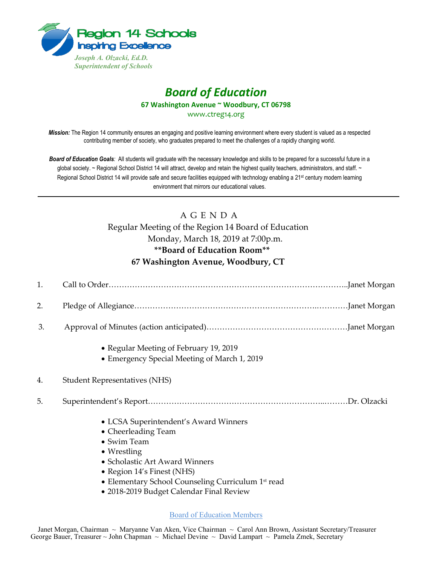

## *Board of Education* **67 Washington Avenue ~ Woodbury, CT 06798**

www.ctreg14.org

*Mission:* The Region 14 community ensures an engaging and positive learning environment where every student is valued as a respected contributing member of society, who graduates prepared to meet the challenges of a rapidly changing world.

*Board of Education Goals:* All students will graduate with the necessary knowledge and skills to be prepared for a successful future in a global society. ~ Regional School District 14 will attract, develop and retain the highest quality teachers, administrators, and staff. ~ Regional School District 14 will provide safe and secure facilities equipped with technology enabling a 21<sup>st</sup> century modern learning environment that mirrors our educational values.

## A G E N D A Regular Meeting of the Region 14 Board of Education Monday, March 18, 2019 at 7:00p.m. **\*\*Board of Education Room\*\* 67 Washington Avenue, Woodbury, CT**

| 1. |                                                                                                                                                                                                                                                                      |
|----|----------------------------------------------------------------------------------------------------------------------------------------------------------------------------------------------------------------------------------------------------------------------|
| 2. |                                                                                                                                                                                                                                                                      |
| 3. |                                                                                                                                                                                                                                                                      |
|    | • Regular Meeting of February 19, 2019<br>• Emergency Special Meeting of March 1, 2019                                                                                                                                                                               |
| 4. | <b>Student Representatives (NHS)</b>                                                                                                                                                                                                                                 |
| 5. |                                                                                                                                                                                                                                                                      |
|    | • LCSA Superintendent's Award Winners<br>• Cheerleading Team<br>• Swim Team<br>$\bullet$ Wrestling<br>• Scholastic Art Award Winners<br>• Region 14's Finest (NHS)<br>• Elementary School Counseling Curriculum 1st read<br>• 2018-2019 Budget Calendar Final Review |

Board of Education Members